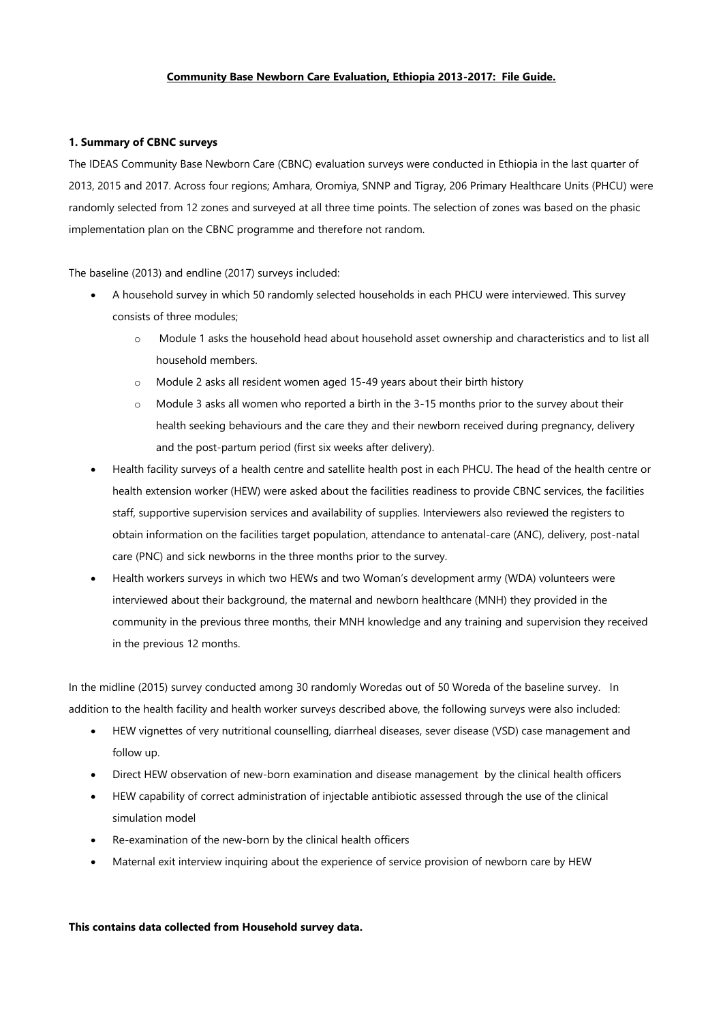### **Community Base Newborn Care Evaluation, Ethiopia 2013-2017: File Guide.**

#### **1. Summary of CBNC surveys**

The IDEAS Community Base Newborn Care (CBNC) evaluation surveys were conducted in Ethiopia in the last quarter of 2013, 2015 and 2017. Across four regions; Amhara, Oromiya, SNNP and Tigray, 206 Primary Healthcare Units (PHCU) were randomly selected from 12 zones and surveyed at all three time points. The selection of zones was based on the phasic implementation plan on the CBNC programme and therefore not random.

The baseline (2013) and endline (2017) surveys included:

- A household survey in which 50 randomly selected households in each PHCU were interviewed. This survey consists of three modules;
	- o Module 1 asks the household head about household asset ownership and characteristics and to list all household members.
	- o Module 2 asks all resident women aged 15-49 years about their birth history
	- o Module 3 asks all women who reported a birth in the 3-15 months prior to the survey about their health seeking behaviours and the care they and their newborn received during pregnancy, delivery and the post-partum period (first six weeks after delivery).
- Health facility surveys of a health centre and satellite health post in each PHCU. The head of the health centre or health extension worker (HEW) were asked about the facilities readiness to provide CBNC services, the facilities staff, supportive supervision services and availability of supplies. Interviewers also reviewed the registers to obtain information on the facilities target population, attendance to antenatal-care (ANC), delivery, post-natal care (PNC) and sick newborns in the three months prior to the survey.
- Health workers surveys in which two HEWs and two Woman's development army (WDA) volunteers were interviewed about their background, the maternal and newborn healthcare (MNH) they provided in the community in the previous three months, their MNH knowledge and any training and supervision they received in the previous 12 months.

In the midline (2015) survey conducted among 30 randomly Woredas out of 50 Woreda of the baseline survey. In addition to the health facility and health worker surveys described above, the following surveys were also included:

- HEW vignettes of very nutritional counselling, diarrheal diseases, sever disease (VSD) case management and follow up.
- Direct HEW observation of new-born examination and disease management by the clinical health officers
- HEW capability of correct administration of injectable antibiotic assessed through the use of the clinical simulation model
- Re-examination of the new-born by the clinical health officers
- Maternal exit interview inquiring about the experience of service provision of newborn care by HEW

#### **This contains data collected from Household survey data.**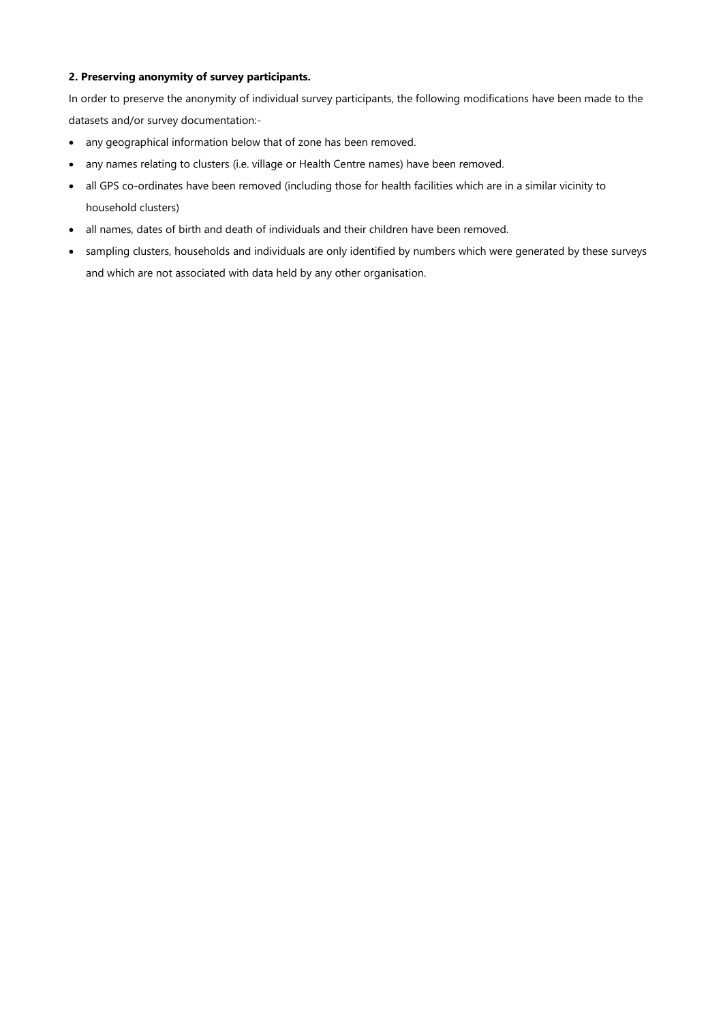## **2. Preserving anonymity of survey participants.**

In order to preserve the anonymity of individual survey participants, the following modifications have been made to the datasets and/or survey documentation:-

- any geographical information below that of zone has been removed.
- any names relating to clusters (i.e. village or Health Centre names) have been removed.
- all GPS co-ordinates have been removed (including those for health facilities which are in a similar vicinity to household clusters)
- all names, dates of birth and death of individuals and their children have been removed.
- sampling clusters, households and individuals are only identified by numbers which were generated by these surveys and which are not associated with data held by any other organisation.